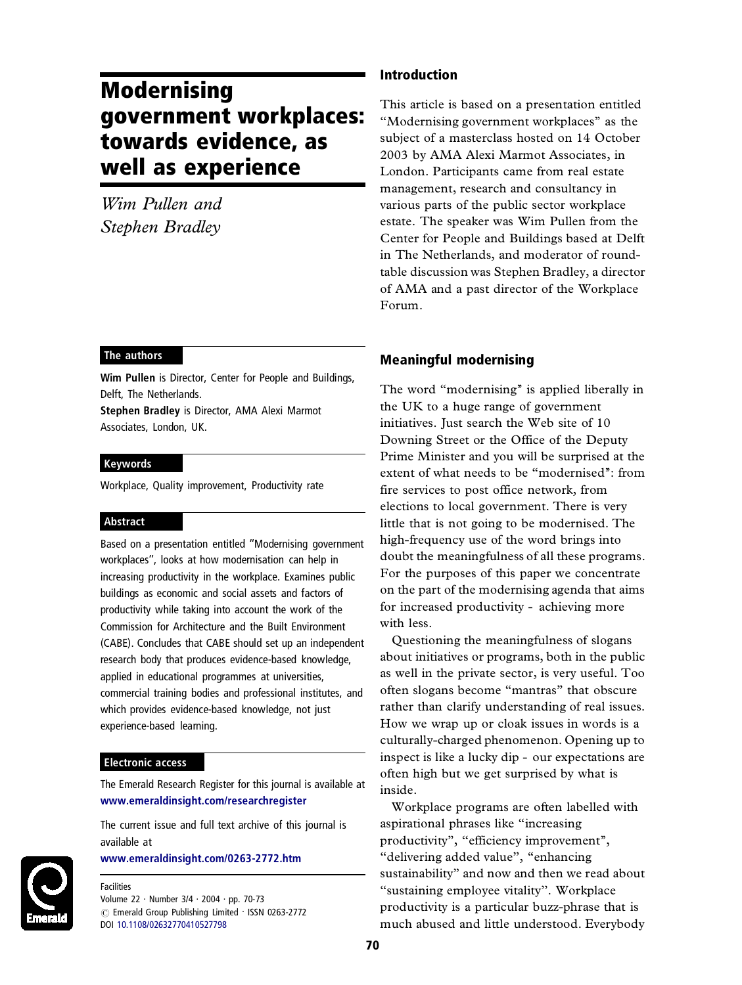# **Modernising** government workplaces: towards evidence, as well as experience

*Wim Pullen and Stephen Bradley*

#### The authors

Wim Pullen is Director, Center for People and Buildings, Delft, The Netherlands.

Stephen Bradley is Director, AMA Alexi Marmot Associates, London, UK.

#### Keywords

Workplace, Quality improvement, Productivity rate

#### Abstract

Based on a presentation entitled "Modernising government workplaces'', looks at how modernisation can help in increasing productivity in the workplace. Examines public buildings as economic and social assets and factors of productivity while taking into account the work of the Commission for Architecture and the Built Environment (CABE). Concludes that CABE should set up an independent research body that produces evidence-based knowledge, applied in educational programmes at universities, commercial training bodies and professional institutes, and which provides evidence-based knowledge, not just experience-based learning.

#### Electronic access

The Emerald Research Register for this journal is available at [www.emeraldinsight.com/researchregister](http://www.emeraldinsight.com/researchregister)

The current issue and full text archive of this journal is available at

#### [www.emeraldinsight.com/0263-2772.htm](http://www.emeraldinsight.com/0263-2772.htm)



Facilities Volume 22 . Number 3/4 . 2004 . pp. 70-73  $\circledcirc$  Emerald Group Publishing Limited · ISSN 0263-2772 DOI [10.1108/02632770410527798](http://dx.doi.org/10.1108/02632770410527798)

## Introduction

This article is based on a presentation entitled ''Modernising government workplaces'' as the subject of a masterclass hosted on 14 October 2003 by AMA Alexi Marmot Associates, in London. Participants came from real estate management, research and consultancy in various parts of the public sector workplace estate. The speaker was Wim Pullen from the Center for People and Buildings based at Delft in The Netherlands, and moderator of roundtable discussion was Stephen Bradley, a director of AMA and a past director of the Workplace Forum.

## Meaningful modernising

The word "modernising" is applied liberally in the UK to a huge range of government initiatives. Just search the Web site of 10 Downing Street or the Office of the Deputy Prime Minister and you will be surprised at the extent of what needs to be ''modernised'': from fire services to post office network, from elections to local government. There is very little that is not going to be modernised. The high-frequency use of the word brings into doubt the meaningfulness of all these programs. For the purposes of this paper we concentrate on the part of the modernising agenda that aims for increased productivity - achieving more with less.

Questioning the meaningfulness of slogans about initiatives or programs, both in the public as well in the private sector, is very useful. Too often slogans become ''mantras'' that obscure rather than clarify understanding of real issues. How we wrap up or cloak issues in words is a culturally-charged phenomenon. Opening up to inspect is like a lucky dip - our expectations are often high but we get surprised by what is inside.

Workplace programs are often labelled with aspirational phrases like ''increasing productivity", "efficiency improvement", ''delivering added value'', ''enhancing sustainability'' and now and then we read about "sustaining employee vitality". Workplace productivity is a particular buzz-phrase that is much abused and little understood. Everybody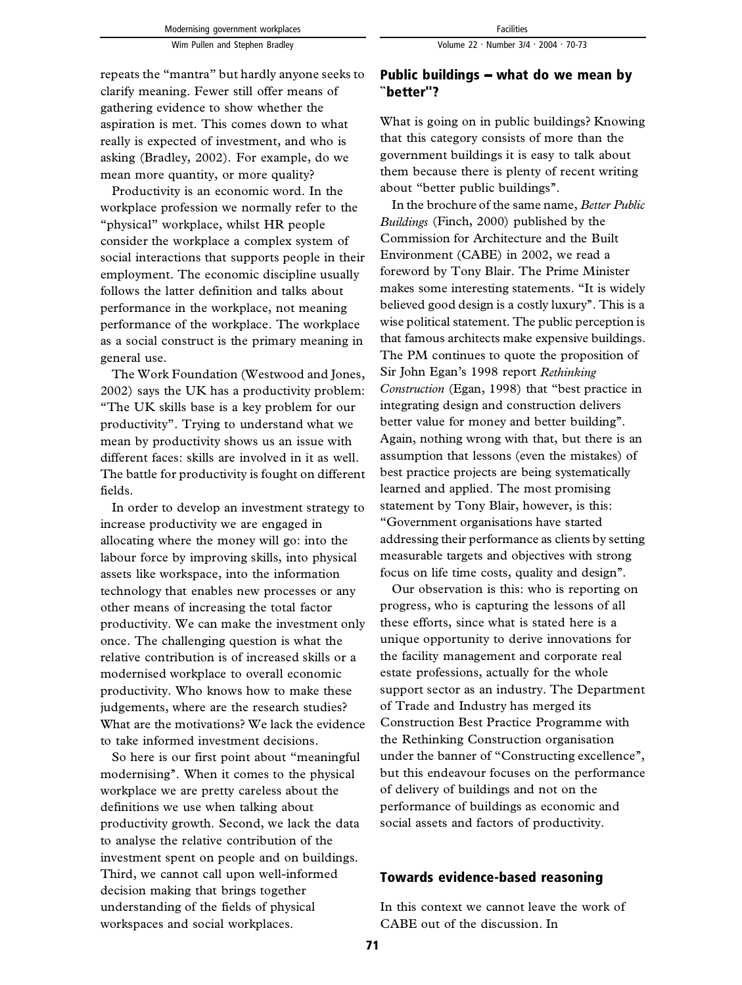Volume 22 . Number 3/4 . 2004 . 70-73

repeats the ''mantra'' but hardly anyone seeks to clarify meaning. Fewer still offer means of gathering evidence to show whether the aspiration is met. This comes down to what really is expected of investment, and who is asking (Bradley, 2002). For example, do we mean more quantity, or more quality?

Productivity is an economic word. In the workplace profession we normally refer to the "physical" workplace, whilst HR people consider the workplace a complex system of social interactions that supports people in their employment. The economic discipline usually follows the latter definition and talks about performance in the workplace, not meaning performance of the workplace. The workplace as a social construct is the primary meaning in general use.

The Work Foundation (Westwood and Jones, 2002) says the UK has a productivity problem: "The UK skills base is a key problem for our productivity''. Trying to understand what we mean by productivity shows us an issue with different faces: skills are involved in it as well. The battle for productivity is fought on different fields.

In order to develop an investment strategy to increase productivity we are engaged in allocating where the money will go: into the labour force by improving skills, into physical assets like workspace, into the information technology that enables new processes or any other means of increasing the total factor productivity. We can make the investment only once. The challenging question is what the relative contribution is of increased skills or a modernised workplace to overall economic productivity. Who knows how to make these judgements, where are the research studies? What are the motivations? We lack the evidence to take informed investment decisions.

So here is our first point about "meaningful modernising''. When it comes to the physical workplace we are pretty careless about the definitions we use when talking about productivity growth. Second, we lack the data to analyse the relative contribution of the investment spent on people and on buildings. Third, we cannot call upon well-informed decision making that brings together understanding of the fields of physical workspaces and social workplaces.

# Public buildings  $-$  what do we mean by ``better''?

What is going on in public buildings? Knowing that this category consists of more than the government buildings it is easy to talk about them because there is plenty of recent writing about ''better public buildings''.

In the brochure of the same name, *Better Public Buildings* (Finch, 2000) published by the Commission for Architecture and the Built Environment (CABE) in 2002, we read a foreword by Tony Blair. The Prime Minister makes some interesting statements. ''It is widely believed good design is a costly luxury''. This is a wise political statement. The public perception is that famous architects make expensive buildings. The PM continues to quote the proposition of Sir John Egan's 1998 report *Rethinking Construction* (Egan, 1998) that ''best practice in integrating design and construction delivers better value for money and better building''. Again, nothing wrong with that, but there is an assumption that lessons (even the mistakes) of best practice projects are being systematically learned and applied. The most promising statement by Tony Blair, however, is this: ''Government organisations have started addressing their performance as clients by setting measurable targets and objectives with strong focus on life time costs, quality and design''.

Our observation is this: who is reporting on progress, who is capturing the lessons of all these efforts, since what is stated here is a unique opportunity to derive innovations for the facility management and corporate real estate professions, actually for the whole support sector as an industry. The Department of Trade and Industry has merged its Construction Best Practice Programme with the Rethinking Construction organisation under the banner of "Constructing excellence", but this endeavour focuses on the performance of delivery of buildings and not on the performance of buildings as economic and social assets and factors of productivity.

## Towards evidence-based reasoning

In this context we cannot leave the work of CABE out of the discussion. In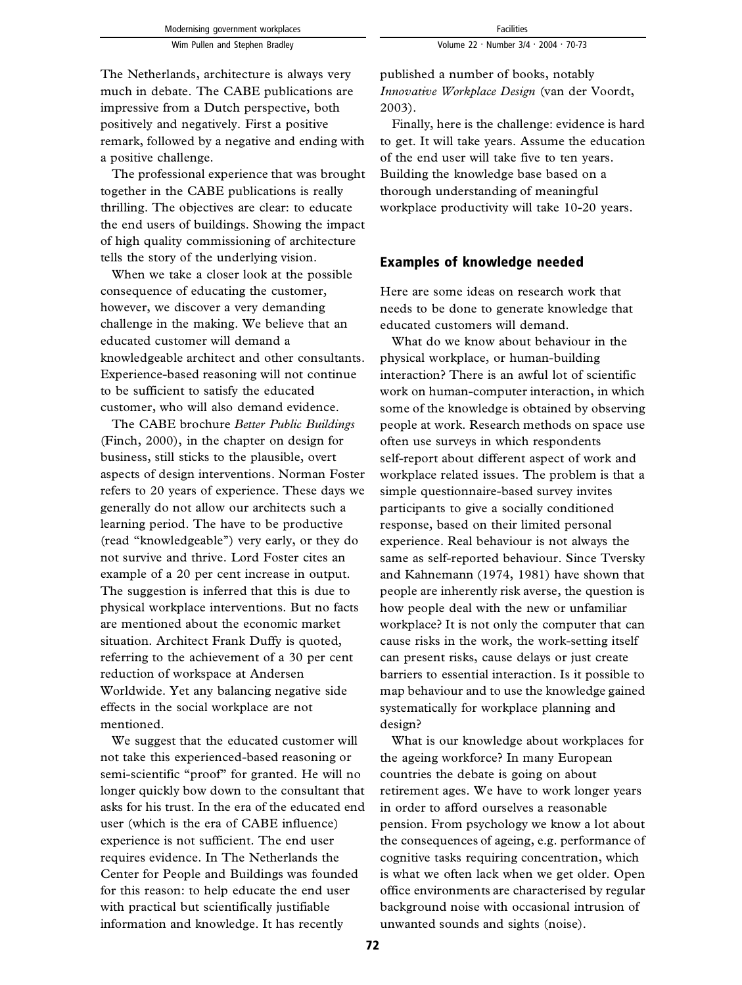Wim Pullen and Stephen Bradley

The Netherlands, architecture is always very much in debate. The CABE publications are impressive from a Dutch perspective, both positively and negatively. First a positive remark, followed by a negative and ending with a positive challenge.

The professional experience that was brought together in the CABE publications is really thrilling. The objectives are clear: to educate the end users of buildings. Showing the impact of high quality commissioning of architecture tells the story of the underlying vision.

When we take a closer look at the possible consequence of educating the customer, however, we discover a very demanding challenge in the making. We believe that an educated customer will demand a knowledgeable architect and other consultants. Experience-based reasoning will not continue to be sufficient to satisfy the educated customer, who will also demand evidence.

The CABE brochure *Better Public Buildings* (Finch, 2000), in the chapter on design for business, still sticks to the plausible, overt aspects of design interventions. Norman Foster refers to 20 years of experience. These days we generally do not allow our architects such a learning period. The have to be productive (read ''knowledgeable'') very early, or they do not survive and thrive. Lord Foster cites an example of a 20 per cent increase in output. The suggestion is inferred that this is due to physical workplace interventions. But no facts are mentioned about the economic market situation. Architect Frank Duffy is quoted, referring to the achievement of a 30 per cent reduction of workspace at Andersen Worldwide. Yet any balancing negative side effects in the social workplace are not mentioned.

We suggest that the educated customer will not take this experienced-based reasoning or semi-scientific "proof" for granted. He will no longer quickly bow down to the consultant that asks for his trust. In the era of the educated end user (which is the era of CABE influence) experience is not sufficient. The end user requires evidence. In The Netherlands the Center for People and Buildings was founded for this reason: to help educate the end user with practical but scientifically justifiable information and knowledge. It has recently

published a number of books, notably *Innovative Workplace Design* (van der Voordt, 2003).

Finally, here is the challenge: evidence is hard to get. It will take years. Assume the education of the end user will take five to ten years. Building the knowledge base based on a thorough understanding of meaningful workplace productivity will take 10-20 years.

## Examples of knowledge needed

Here are some ideas on research work that needs to be done to generate knowledge that educated customers will demand.

What do we know about behaviour in the physical workplace, or human-building interaction? There is an awful lot of scientific work on human-computer interaction, in which some of the knowledge is obtained by observing people at work. Research methods on space use often use surveys in which respondents self-report about different aspect of work and workplace related issues. The problem is that a simple questionnaire-based survey invites participants to give a socially conditioned response, based on their limited personal experience. Real behaviour is not always the same as self-reported behaviour. Since Tversky and Kahnemann (1974, 1981) have shown that people are inherently risk averse, the question is how people deal with the new or unfamiliar workplace? It is not only the computer that can cause risks in the work, the work-setting itself can present risks, cause delays or just create barriers to essential interaction. Is it possible to map behaviour and to use the knowledge gained systematically for workplace planning and design?

What is our knowledge about workplaces for the ageing workforce? In many European countries the debate is going on about retirement ages. We have to work longer years in order to afford ourselves a reasonable pension. From psychology we know alot about the consequences of ageing, e.g. performance of cognitive tasks requiring concentration, which is what we often lack when we get older. Open office environments are characterised by regular background noise with occasional intrusion of unwanted sounds and sights (noise).